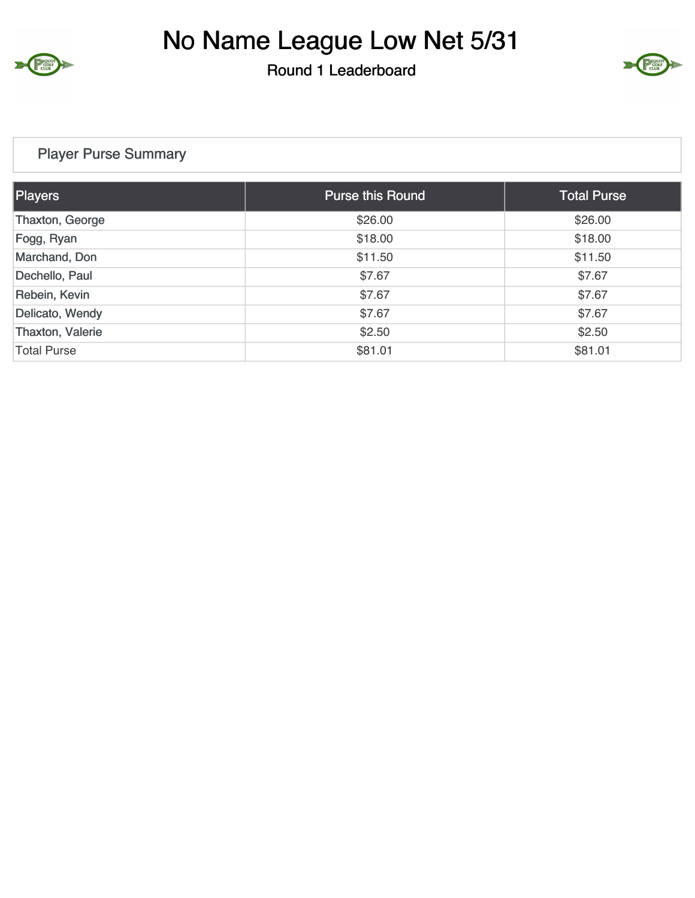

### Round 1 Leaderboard



### Player Purse Summary

| <b>Players</b>     | <b>Purse this Round</b> | Total Purse |  |
|--------------------|-------------------------|-------------|--|
| Thaxton, George    | \$26.00                 | \$26.00     |  |
| Fogg, Ryan         | \$18.00                 | \$18.00     |  |
| Marchand, Don      | \$11.50                 | \$11.50     |  |
| Dechello, Paul     | \$7.67                  | \$7.67      |  |
| Rebein, Kevin      | \$7.67                  | \$7.67      |  |
| Delicato, Wendy    | \$7.67                  | \$7.67      |  |
| Thaxton, Valerie   | \$2.50                  | \$2.50      |  |
| <b>Total Purse</b> | \$81.01                 | \$81.01     |  |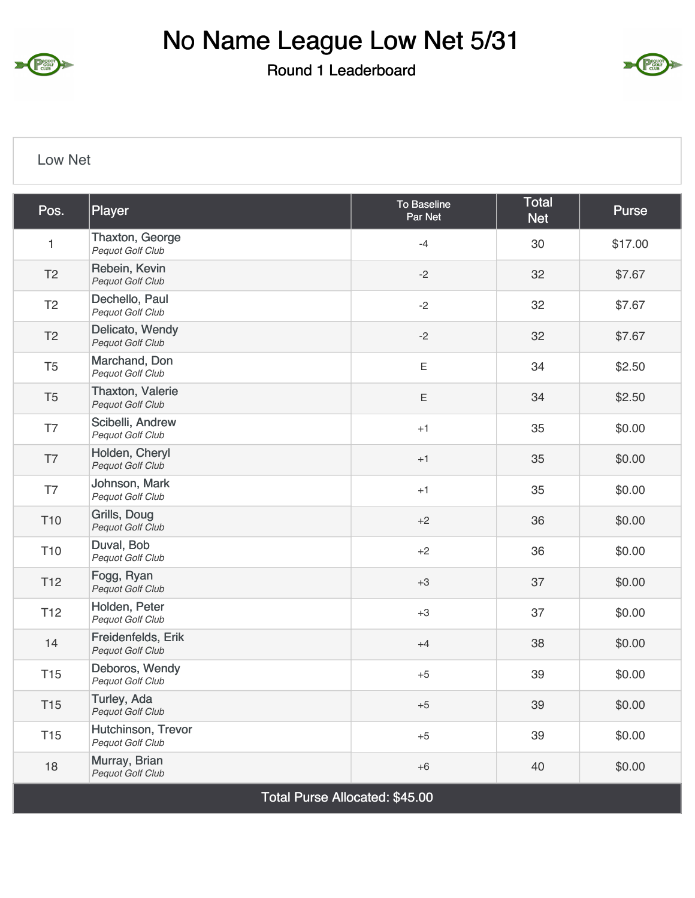

# No Name League Low Net 5/31

Round 1 Leaderboard



#### Low Net

| Pos.                           | Player                                        | To Baseline<br>Par Net | <b>Total</b><br><b>Net</b> | Purse   |  |
|--------------------------------|-----------------------------------------------|------------------------|----------------------------|---------|--|
| $\mathbf{1}$                   | Thaxton, George<br>Pequot Golf Club           | $-4$                   | 30                         | \$17.00 |  |
| T <sub>2</sub>                 | Rebein, Kevin<br>Pequot Golf Club             | $-2$                   | 32                         | \$7.67  |  |
| T <sub>2</sub>                 | Dechello, Paul<br>Pequot Golf Club            | $-2$                   | 32                         | \$7.67  |  |
| T <sub>2</sub>                 | Delicato, Wendy<br>Pequot Golf Club           | $-2$                   | 32                         | \$7.67  |  |
| T <sub>5</sub>                 | Marchand, Don<br>Pequot Golf Club             | $\mathsf E$            | 34                         | \$2.50  |  |
| T <sub>5</sub>                 | Thaxton, Valerie<br>Pequot Golf Club          | Ε                      | 34                         | \$2.50  |  |
| T7                             | Scibelli, Andrew<br>Pequot Golf Club          | $+1$                   | 35                         | \$0.00  |  |
| T7                             | Holden, Cheryl<br><b>Pequot Golf Club</b>     | $+1$                   | 35                         | \$0.00  |  |
| T7                             | Johnson, Mark<br>Pequot Golf Club             | $+1$                   | 35                         | \$0.00  |  |
| T <sub>10</sub>                | Grills, Doug<br>Pequot Golf Club              | $+2$                   | 36                         | \$0.00  |  |
| T <sub>10</sub>                | Duval, Bob<br><b>Pequot Golf Club</b>         | $+2$                   | 36                         | \$0.00  |  |
| T <sub>12</sub>                | Fogg, Ryan<br>Pequot Golf Club                | $+3$                   | 37                         | \$0.00  |  |
| T <sub>12</sub>                | Holden, Peter<br>Pequot Golf Club             | $+3$                   | 37                         | \$0.00  |  |
| 14                             | Freidenfelds, Erik<br>Pequot Golf Club        | $+4$                   | 38                         | \$0.00  |  |
| T <sub>15</sub>                | Deboros, Wendy<br>Pequot Golf Club            | $+5$                   | 39                         | \$0.00  |  |
| T <sub>15</sub>                | Turley, Ada<br>Pequot Golf Club               | $+5$                   | 39                         | \$0.00  |  |
| T <sub>15</sub>                | Hutchinson, Trevor<br><b>Pequot Golf Club</b> | $+5$                   | 39                         | \$0.00  |  |
| 18                             | Murray, Brian<br>Pequot Golf Club             | $+6$                   | 40                         | \$0.00  |  |
| Total Purse Allocated: \$45.00 |                                               |                        |                            |         |  |